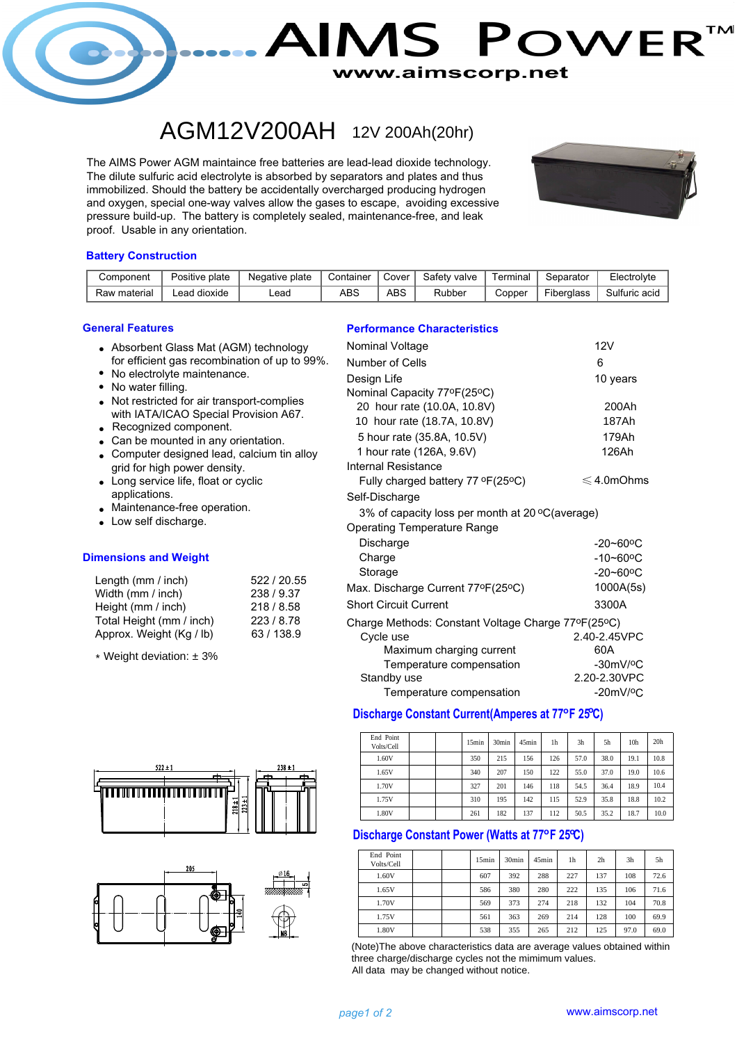

## AGM12V200AH 12V 200Ah(20hr)

and oxygen, special one-way valves allow the gases to escape, avoiding excessive immobilized. Should the battery be accidentally overcharged producing hydrogen The AIMS Power AGM maintaince free batteries are lead-lead dioxide technology. proof. Usable in any orientation. pressure build-up. The battery is completely sealed, maintenance-free, and leak The dilute sulfuric acid electrolyte is absorbed by separators and plates and thus



#### **Battery Construction**

| Component                                                       | Positive plate | Negative plate | Container  | Cover                                                 | Safety valve | Terminal | Separator  | Electrolyte   |  |
|-----------------------------------------------------------------|----------------|----------------|------------|-------------------------------------------------------|--------------|----------|------------|---------------|--|
| Raw material<br>Lead dioxide<br>Lead                            |                |                | <b>ABS</b> | ABS.                                                  | Rubber       | Copper   | Fiberglass | Sulfuric acid |  |
| <b>General Features</b><br>Absorbent Glass Mat (AGM) technology |                |                |            | <b>Performance Characteristics</b><br>Nominal Voltage |              |          | 12V        |               |  |

- for efficient gas recombination of up to 99%.
- No water filling. • No electrolyte maintenance.
- Not restricted for air transport-complies with IATA/ICAO Special Provision A67.
- Recognized component.
- Can be mounted in any orientation.
- Computer designed lead, calcium tin alloy grid for high power density.
- Long service life, float or cyclic applications.
- Maintenance-free operation.
- Low self discharge.

#### **Dimensions and Weight**

| Length (mm / inch)       | 522 / 20.55 |
|--------------------------|-------------|
| Width (mm / inch)        | 238 / 9.37  |
| Height (mm / inch)       | 218 / 8.58  |
| Total Height (mm / inch) | 223/8.78    |
| Approx. Weight (Kg / lb) | 63/138.9    |

\* Weight deviation: ± 3%





| Nominal Voltage                                    | 12V                       |
|----------------------------------------------------|---------------------------|
| Number of Cells                                    | 6                         |
| Design Life                                        | 10 years                  |
| Nominal Capacity 77ºF(25ºC)                        |                           |
| 20 hour rate (10.0A, 10.8V)                        | 200Ah                     |
| 10 hour rate (18.7A, 10.8V)                        | 187Ah                     |
| 5 hour rate (35.8A, 10.5V)                         | 179Ah                     |
| 1 hour rate (126A, 9.6V)                           | 126Ah                     |
| Internal Resistance                                |                           |
| Fully charged battery 77 °F(25°C)                  | $\leqslant$ 4.0mOhms      |
| Self-Discharge                                     |                           |
| 3% of capacity loss per month at 20 °C(average)    |                           |
| <b>Operating Temperature Range</b>                 |                           |
| Discharge                                          | $-20 - 60$ °C             |
| Charge                                             | $-10 - 60$ <sup>o</sup> C |
| Storage                                            | $-20 - 60$ °C             |
| Max. Discharge Current 77°F(25°C)                  | 1000A(5s)                 |
| <b>Short Circuit Current</b>                       | 3300A                     |
| Charge Methods: Constant Voltage Charge 77°F(25°C) |                           |
| Cycle use                                          | 2.40-2.45VPC              |
| Maximum charging current                           | 60A                       |
| Temperature compensation                           | $-30mV/°C$                |
| Standby use                                        | 2.20-2.30VPC              |
| Temperature compensation                           | $-20mV$ / $°C$            |

## **Discharge Constant Current(Amperes at 77°F 25°C)**

| End Point<br>Volts/Cell |  | 15min | 30 <sub>min</sub> | 45min | 1h  | 3h   | 5h   | 10 <sub>h</sub> | 20 <sub>h</sub> |
|-------------------------|--|-------|-------------------|-------|-----|------|------|-----------------|-----------------|
| 1.60V                   |  | 350   | 215               | 156   | 126 | 57.0 | 38.0 | 19.1            | 10.8            |
| 1.65V                   |  | 340   | 207               | 150   | 122 | 55.0 | 37.0 | 19.0            | 10.6            |
| 1.70V                   |  | 327   | 201               | 146   | 118 | 54.5 | 36.4 | 18.9            | 10.4            |
| 1.75V                   |  | 310   | 195               | 142   | 115 | 52.9 | 35.8 | 18.8            | 10.2            |
| 1.80V                   |  | 261   | 182               | 137   | 112 | 50.5 | 35.2 | 18.7            | 10.0            |

## **Discharge Constant Power (Watts at 77°F 25°C)**

| End Point<br>Volts/Cell | 15min | 30 <sub>min</sub> | $45$ min | 1 <sub>h</sub> | 2 <sub>h</sub> | 3 <sub>h</sub> | 5h   |
|-------------------------|-------|-------------------|----------|----------------|----------------|----------------|------|
| 1.60V                   | 607   | 392               | 288      | 227            | 137            | 108            | 72.6 |
| 1.65V                   | 586   | 380               | 280      | 222            | 135            | 106            | 71.6 |
| 1.70V                   | 569   | 373               | 274      | 218            | 132            | 104            | 70.8 |
| 1.75V                   | 561   | 363               | 269      | 214            | 128            | 100            | 69.9 |
| 1.80V                   | 538   | 355               | 265      | 212            | 125            | 97.0           | 69.0 |

All data may be changed without notice. (Note)The above characteristics data are average values obtained within three charge/discharge cycles not the mimimum values.